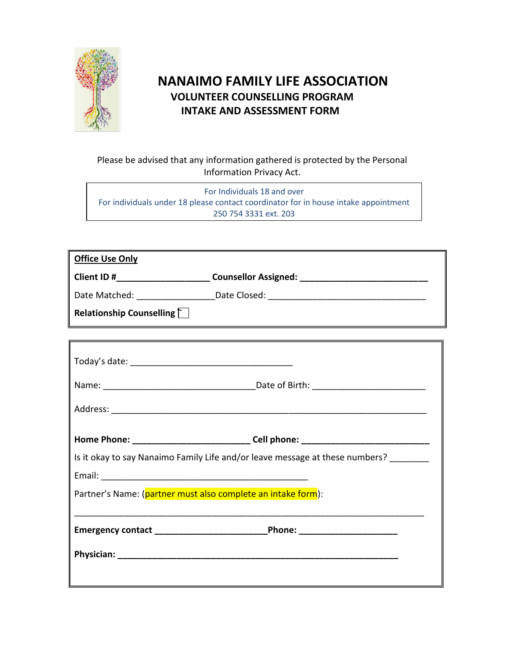

# **NANAIMO FAMILY LIFE ASSOCIATION VOLUNTEER COUNSELLING PROGRAM INTAKE AND ASSESSMENT FORM**

## Please be advised that any information gathered is protected by the Personal Information Privacy Act.

For Individuals 18 and over For individuals under 18 please contact coordinator for in house intake appointment 250 754 3331 ext. 203

| <b>Office Use Only</b>          |                                                                                   |
|---------------------------------|-----------------------------------------------------------------------------------|
|                                 | Client ID #___________________________Counsellor Assigned: ______________________ |
|                                 | Date Matched: ________________________Date Closed: _____________________________  |
| Relationship Counselling $\Box$ |                                                                                   |
|                                 |                                                                                   |
|                                 |                                                                                   |
|                                 |                                                                                   |
| $ -$                            |                                                                                   |

| Home Phone: ________________________________Cell phone: _________________________ |                                                                              |
|-----------------------------------------------------------------------------------|------------------------------------------------------------------------------|
|                                                                                   | Is it okay to say Nanaimo Family Life and/or leave message at these numbers? |
|                                                                                   |                                                                              |
| Partner's Name: (partner must also complete an intake form):                      |                                                                              |
|                                                                                   |                                                                              |
|                                                                                   |                                                                              |
|                                                                                   |                                                                              |
|                                                                                   |                                                                              |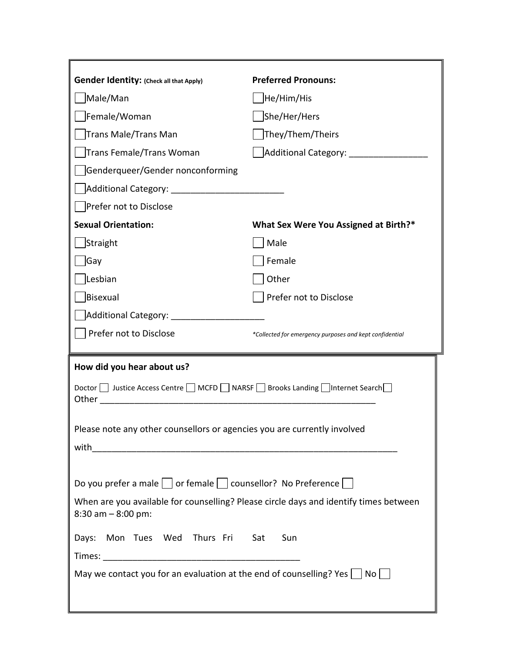| <b>Gender Identity: (Check all that Apply)</b>                                              | <b>Preferred Pronouns:</b>                                                            |  |
|---------------------------------------------------------------------------------------------|---------------------------------------------------------------------------------------|--|
| Male/Man                                                                                    | He/Him/His                                                                            |  |
| Female/Woman                                                                                | She/Her/Hers                                                                          |  |
| <b>Trans Male/Trans Man</b>                                                                 | They/Them/Theirs                                                                      |  |
| <b>Trans Female/Trans Woman</b>                                                             | Additional Category:                                                                  |  |
| Genderqueer/Gender nonconforming                                                            |                                                                                       |  |
|                                                                                             |                                                                                       |  |
| Prefer not to Disclose                                                                      |                                                                                       |  |
| <b>Sexual Orientation:</b>                                                                  | What Sex Were You Assigned at Birth?*                                                 |  |
| Straight                                                                                    | Male                                                                                  |  |
| Gay                                                                                         | Female                                                                                |  |
| Lesbian                                                                                     | Other                                                                                 |  |
| <b>Bisexual</b>                                                                             | Prefer not to Disclose                                                                |  |
| Additional Category: _________                                                              |                                                                                       |  |
| Prefer not to Disclose                                                                      | *Collected for emergency purposes and kept confidential                               |  |
|                                                                                             |                                                                                       |  |
| How did you hear about us?                                                                  |                                                                                       |  |
| Doctor in Justice Access Centre in MCFD in NARSF in Brooks Landing internet Search<br>Other |                                                                                       |  |
| Please note any other counsellors or agencies you are currently involved                    |                                                                                       |  |
| with                                                                                        |                                                                                       |  |
|                                                                                             |                                                                                       |  |
| Do you prefer a male $\Box$ or female $\Box$ counsellor? No Preference $\Box$               |                                                                                       |  |
| $8:30$ am $-8:00$ pm:                                                                       | When are you available for counselling? Please circle days and identify times between |  |
| Days: Mon Tues Wed Thurs Fri                                                                | Sun<br>Sat                                                                            |  |
|                                                                                             |                                                                                       |  |
| May we contact you for an evaluation at the end of counselling? Yes $\Box$ No $\Box$        |                                                                                       |  |
|                                                                                             |                                                                                       |  |
|                                                                                             |                                                                                       |  |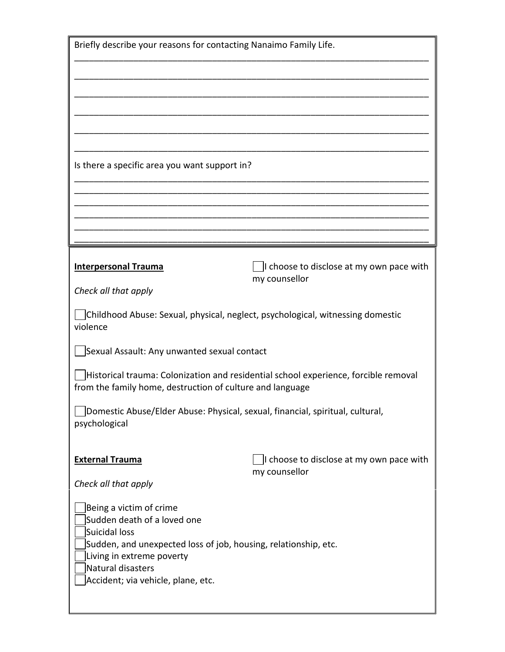| Briefly describe your reasons for contacting Nanaimo Family Life.                                                                                                                                                                  |  |  |
|------------------------------------------------------------------------------------------------------------------------------------------------------------------------------------------------------------------------------------|--|--|
|                                                                                                                                                                                                                                    |  |  |
|                                                                                                                                                                                                                                    |  |  |
|                                                                                                                                                                                                                                    |  |  |
|                                                                                                                                                                                                                                    |  |  |
| Is there a specific area you want support in?                                                                                                                                                                                      |  |  |
|                                                                                                                                                                                                                                    |  |  |
|                                                                                                                                                                                                                                    |  |  |
|                                                                                                                                                                                                                                    |  |  |
| I choose to disclose at my own pace with<br>my counsellor                                                                                                                                                                          |  |  |
|                                                                                                                                                                                                                                    |  |  |
| Childhood Abuse: Sexual, physical, neglect, psychological, witnessing domestic<br>violence                                                                                                                                         |  |  |
| Sexual Assault: Any unwanted sexual contact                                                                                                                                                                                        |  |  |
| Historical trauma: Colonization and residential school experience, forcible removal<br>from the family home, destruction of culture and language                                                                                   |  |  |
| Domestic Abuse/Elder Abuse: Physical, sexual, financial, spiritual, cultural,<br>psychological                                                                                                                                     |  |  |
| I choose to disclose at my own pace with<br>my counsellor                                                                                                                                                                          |  |  |
|                                                                                                                                                                                                                                    |  |  |
| Being a victim of crime<br>Sudden death of a loved one<br>Suicidal loss<br>Sudden, and unexpected loss of job, housing, relationship, etc.<br>Living in extreme poverty<br>Natural disasters<br>Accident; via vehicle, plane, etc. |  |  |
|                                                                                                                                                                                                                                    |  |  |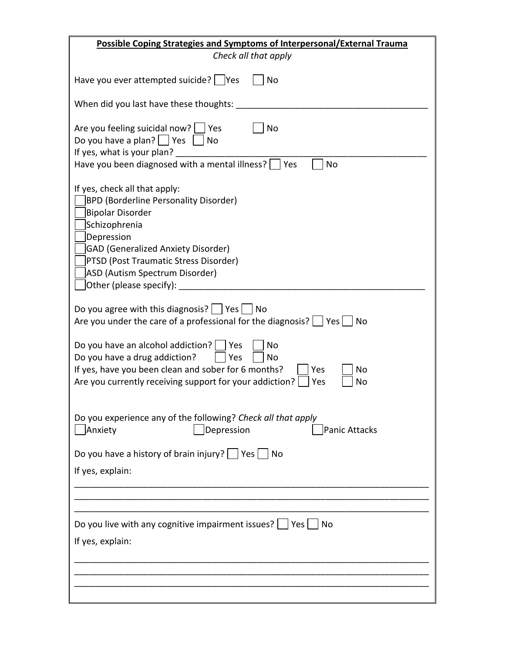| <b>Possible Coping Strategies and Symptoms of Interpersonal/External Trauma</b>                                                                                                                                                                                                            |  |  |
|--------------------------------------------------------------------------------------------------------------------------------------------------------------------------------------------------------------------------------------------------------------------------------------------|--|--|
| Check all that apply                                                                                                                                                                                                                                                                       |  |  |
| Have you ever attempted suicide?   Yes<br>No                                                                                                                                                                                                                                               |  |  |
| When did you last have these thoughts:                                                                                                                                                                                                                                                     |  |  |
| Are you feeling suicidal now?<br>No<br>Yes<br>Do you have a plan? $ $ Yes<br>No<br>If yes, what is your plan?<br>Have you been diagnosed with a mental illness?<br>Yes<br>No                                                                                                               |  |  |
| If yes, check all that apply:<br><b>BPD (Borderline Personality Disorder)</b><br><b>Bipolar Disorder</b><br>Schizophrenia<br>Depression<br><b>GAD (Generalized Anxiety Disorder)</b><br>PTSD (Post Traumatic Stress Disorder)<br>ASD (Autism Spectrum Disorder)<br>Other (please specify): |  |  |
| Do you agree with this diagnosis? $ $ $ $ Yes $ $ $ $ No<br>Are you under the care of a professional for the diagnosis?<br>  Yes  <br>No                                                                                                                                                   |  |  |
| Do you have an alcohol addiction?<br>No<br>Yes<br>Do you have a drug addiction?<br>Yes<br>No<br>If yes, have you been clean and sober for 6 months?<br>Yes<br>No<br>Are you currently receiving support for your addiction?<br>Yes<br>No                                                   |  |  |
| Do you experience any of the following? Check all that apply<br>Anxiety<br>Depression<br><b>Panic Attacks</b>                                                                                                                                                                              |  |  |
| Do you have a history of brain injury? $ $ Yes $ $ No                                                                                                                                                                                                                                      |  |  |
| If yes, explain:                                                                                                                                                                                                                                                                           |  |  |
|                                                                                                                                                                                                                                                                                            |  |  |
| Do you live with any cognitive impairment issues?     Yes  <br>  No                                                                                                                                                                                                                        |  |  |
| If yes, explain:                                                                                                                                                                                                                                                                           |  |  |
|                                                                                                                                                                                                                                                                                            |  |  |
|                                                                                                                                                                                                                                                                                            |  |  |
|                                                                                                                                                                                                                                                                                            |  |  |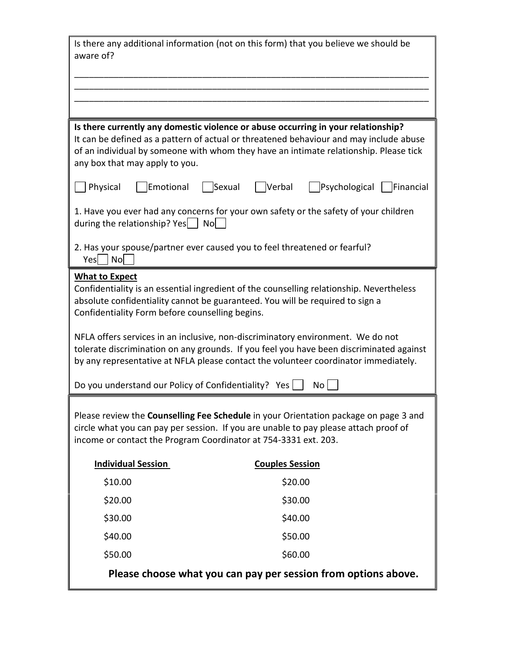| Is there any additional information (not on this form) that you believe we should be<br>aware of?                                                                                                                                                                                                      |                                                  |  |  |
|--------------------------------------------------------------------------------------------------------------------------------------------------------------------------------------------------------------------------------------------------------------------------------------------------------|--------------------------------------------------|--|--|
|                                                                                                                                                                                                                                                                                                        |                                                  |  |  |
|                                                                                                                                                                                                                                                                                                        |                                                  |  |  |
| Is there currently any domestic violence or abuse occurring in your relationship?<br>It can be defined as a pattern of actual or threatened behaviour and may include abuse<br>of an individual by someone with whom they have an intimate relationship. Please tick<br>any box that may apply to you. |                                                  |  |  |
| Physical<br>Emotional                                                                                                                                                                                                                                                                                  | Verbal<br>Sexual<br>Psychological<br>  Financial |  |  |
| 1. Have you ever had any concerns for your own safety or the safety of your children<br>Nol<br>during the relationship? Yes $ $                                                                                                                                                                        |                                                  |  |  |
| 2. Has your spouse/partner ever caused you to feel threatened or fearful?<br>Yes<br>$\vert$ No $\vert$                                                                                                                                                                                                 |                                                  |  |  |
| <b>What to Expect</b><br>Confidentiality is an essential ingredient of the counselling relationship. Nevertheless<br>absolute confidentiality cannot be guaranteed. You will be required to sign a<br>Confidentiality Form before counselling begins.                                                  |                                                  |  |  |
| NFLA offers services in an inclusive, non-discriminatory environment. We do not<br>tolerate discrimination on any grounds. If you feel you have been discriminated against<br>by any representative at NFLA please contact the volunteer coordinator immediately.                                      |                                                  |  |  |
| Do you understand our Policy of Confidentiality? Yes                                                                                                                                                                                                                                                   | No                                               |  |  |
| Please review the Counselling Fee Schedule in your Orientation package on page 3 and<br>circle what you can pay per session. If you are unable to pay please attach proof of<br>income or contact the Program Coordinator at 754-3331 ext. 203.                                                        |                                                  |  |  |
| <b>Individual Session</b>                                                                                                                                                                                                                                                                              | <b>Couples Session</b>                           |  |  |
| \$10.00                                                                                                                                                                                                                                                                                                | \$20.00                                          |  |  |
| \$20.00                                                                                                                                                                                                                                                                                                | \$30.00                                          |  |  |
| \$30.00                                                                                                                                                                                                                                                                                                | \$40.00                                          |  |  |
| \$40.00                                                                                                                                                                                                                                                                                                | \$50.00                                          |  |  |
| \$50.00                                                                                                                                                                                                                                                                                                | \$60.00                                          |  |  |
| Please choose what you can pay per session from options above.                                                                                                                                                                                                                                         |                                                  |  |  |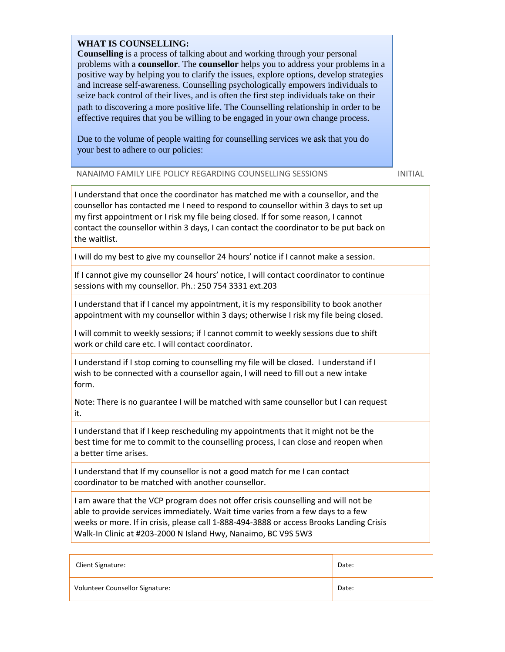#### **WHAT IS COUNSELLING:**

**Counselling** is a process of talking about and working through your personal problems with a **counsellor**. The **counsellor** helps you to address your problems in a positive way by helping you to clarify the issues, explore options, develop strategies and increase self-awareness. Counselling psychologically empowers individuals to seize back control of their lives, and is often the first step individuals take on their path to discovering a more positive life. The Counselling relationship in order to be effective requires that you be willing to be engaged in your own change process.

Due to the volume of people waiting for counselling services we ask that you do your best to adhere to our policies:

#### NANAIMO FAMILY LIFE POLICY REGARDING COUNSELLING SESSIONS INITIAL

| I understand that once the coordinator has matched me with a counsellor, and the<br>counsellor has contacted me I need to respond to counsellor within 3 days to set up<br>my first appointment or I risk my file being closed. If for some reason, I cannot<br>contact the counsellor within 3 days, I can contact the coordinator to be put back on<br>the waitlist. |  |
|------------------------------------------------------------------------------------------------------------------------------------------------------------------------------------------------------------------------------------------------------------------------------------------------------------------------------------------------------------------------|--|
| I will do my best to give my counsellor 24 hours' notice if I cannot make a session.                                                                                                                                                                                                                                                                                   |  |
| If I cannot give my counsellor 24 hours' notice, I will contact coordinator to continue<br>sessions with my counsellor. Ph.: 250 754 3331 ext.203                                                                                                                                                                                                                      |  |
| I understand that if I cancel my appointment, it is my responsibility to book another<br>appointment with my counsellor within 3 days; otherwise I risk my file being closed.                                                                                                                                                                                          |  |
| I will commit to weekly sessions; if I cannot commit to weekly sessions due to shift<br>work or child care etc. I will contact coordinator.                                                                                                                                                                                                                            |  |
| I understand if I stop coming to counselling my file will be closed. I understand if I<br>wish to be connected with a counsellor again, I will need to fill out a new intake<br>form.                                                                                                                                                                                  |  |
| Note: There is no guarantee I will be matched with same counsellor but I can request<br>it.                                                                                                                                                                                                                                                                            |  |
| I understand that if I keep rescheduling my appointments that it might not be the<br>best time for me to commit to the counselling process, I can close and reopen when<br>a better time arises.                                                                                                                                                                       |  |
| I understand that If my counsellor is not a good match for me I can contact<br>coordinator to be matched with another counsellor.                                                                                                                                                                                                                                      |  |
| I am aware that the VCP program does not offer crisis counselling and will not be<br>able to provide services immediately. Wait time varies from a few days to a few<br>weeks or more. If in crisis, please call 1-888-494-3888 or access Brooks Landing Crisis<br>Walk-In Clinic at #203-2000 N Island Hwy, Nanaimo, BC V9S 5W3                                       |  |

| Client Signature:               | Date: |
|---------------------------------|-------|
| Volunteer Counsellor Signature: | Date: |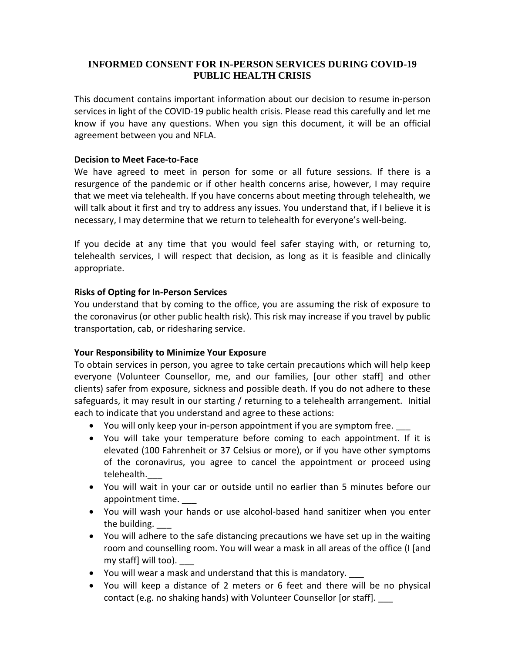## **INFORMED CONSENT FOR IN-PERSON SERVICES DURING COVID-19 PUBLIC HEALTH CRISIS**

This document contains important information about our decision to resume in-person services in light of the COVID-19 public health crisis. Please read this carefully and let me know if you have any questions. When you sign this document, it will be an official agreement between you and NFLA.

#### **Decision to Meet Face-to-Face**

We have agreed to meet in person for some or all future sessions. If there is a resurgence of the pandemic or if other health concerns arise, however, I may require that we meet via telehealth. If you have concerns about meeting through telehealth, we will talk about it first and try to address any issues. You understand that, if I believe it is necessary, I may determine that we return to telehealth for everyone's well-being.

If you decide at any time that you would feel safer staying with, or returning to, telehealth services, I will respect that decision, as long as it is feasible and clinically appropriate.

### **Risks of Opting for In-Person Services**

You understand that by coming to the office, you are assuming the risk of exposure to the coronavirus (or other public health risk). This risk may increase if you travel by public transportation, cab, or ridesharing service.

#### **Your Responsibility to Minimize Your Exposure**

To obtain services in person, you agree to take certain precautions which will help keep everyone (Volunteer Counsellor, me, and our families, [our other staff] and other clients) safer from exposure, sickness and possible death. If you do not adhere to these safeguards, it may result in our starting / returning to a telehealth arrangement. Initial each to indicate that you understand and agree to these actions:

- You will only keep your in-person appointment if you are symptom free.
- You will take your temperature before coming to each appointment. If it is elevated (100 Fahrenheit or 37 Celsius or more), or if you have other symptoms of the coronavirus, you agree to cancel the appointment or proceed using telehealth.\_\_\_
- You will wait in your car or outside until no earlier than 5 minutes before our appointment time.
- You will wash your hands or use alcohol-based hand sanitizer when you enter the building.
- You will adhere to the safe distancing precautions we have set up in the waiting room and counselling room. You will wear a mask in all areas of the office (I [and my staff] will too).
- You will wear a mask and understand that this is mandatory. \_\_\_
- You will keep a distance of 2 meters or 6 feet and there will be no physical contact (e.g. no shaking hands) with Volunteer Counsellor [or staff].